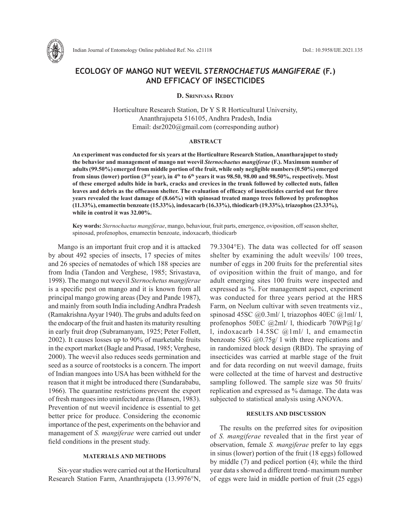

# **ECOLOGY OF MANGO NUT WEEVIL** *STERNOCHAETUS MANGIFERAE* **(F.) AND EFFICACY OF INSECTICIDES**

#### **D. Srinivasa Reddy**

Horticulture Research Station, Dr Y S R Horticultural University, Ananthrajupeta 516105, Andhra Pradesh, India Email: dsr2020@gmail.com (corresponding author)

#### **ABSTRACT**

**An experiment was conducted for six years at the Horticulture Research Station, Anantharajupet to study the behavior and management of mango nut weevil** *Sternochaetus mangiferae* **(F.). Maximum number of adults(99.50%) emerged from middle portion of the fruit, while only negligible numbers (0.50%) emerged**  from sinus (lower) portion (3<sup>rd</sup> year), in 4<sup>th</sup> to 6<sup>th</sup> years it was 98.50, 98.00 and 98.50%, respectively. Most **of these emerged adults hide in bark, cracks and crevices in the trunk followed by collected nuts, fallen leaves and debris as the offseason shelter. The evaluation of efficacy of insecticides carried out for three years revealed the least damage of (8.66%) with spinosad treated mango trees followed by profenophos (11.33%), emamectin benzoate (15.33%), indoxacarb (16.33%), thiodicarb (19.33%), triazophos (23.33%), while in control it was 32.00%.** 

**Key words:** *Sternochaetus mangiferae*, mango, behaviour, fruit parts, emergence, oviposition, off season shelter, spinosad, profenophos, emamectin benzoate, indoxacarb, thiodicarb

Mango is an important fruit crop and it is attacked by about 492 species of insects, 17 species of mites and 26 species of nematodes of which 188 species are from India (Tandon and Verghese, 1985; Srivastava, 1998). The mango nut weevil *Sternochetus mangiferae*  is a specific pest on mango and it is known from all principal mango growing areas (Dey and Pande 1987), and mainly from south India including Andhra Pradesh (Ramakrishna Ayyar 1940). The grubs and adults feed on the endocarp of the fruit and hasten its maturity resulting in early fruit drop (Subramanyam, 1925; Peter Follett, 2002). It causes losses up to 90% of marketable fruits in the export market (Bagle and Prasad, 1985; Verghese, 2000). The weevil also reduces seeds germination and seed as a source of rootstocks is a concern. The import of Indian mangoes into USA has been withheld for the reason that it might be introduced there (Sundarababu, 1966). The quarantine restrictions prevent the export of fresh mangoes into uninfected areas (Hansen, 1983). Prevention of nut weevil incidence is essential to get better price for produce. Considering the economic importance of the pest, experiments on the behavior and management of *S. mangiferae* were carried out under field conditions in the present study.

## **MATERIALS AND METHODS**

Six-year studies were carried out at the Horticultural Research Station Farm, Ananthrajupeta (13.9976°N,

79.3304°E). The data was collected for off season shelter by examining the adult weevils/ 100 trees, number of eggs in 200 fruits for the preferential sites of oviposition within the fruit of mango, and for adult emerging sites 100 fruits were inspected and expressed as %. For management aspect, experiment was conducted for three years period at the HRS Farm, on Neelum cultivar with seven treatments viz., spinosad 45SC  $\left(\frac{\partial}{\partial 0.3}m\right)$  l, triazophos 40EC  $\left(\frac{\partial}{\partial 1}m\right)$  l, profenophos 50EC @2ml/ l, thiodicarb 70WP@1g/ l, indoxacarb 14.5SC @1ml/ l, and emamectin benzoate 5SG  $\omega$ 0.75g/ l with three replications and in randomized block design (RBD). The spraying of insecticides was carried at marble stage of the fruit and for data recording on nut weevil damage, fruits were collected at the time of harvest and destructive sampling followed. The sample size was 50 fruits/ replication and expressed as % damage. The data was subjected to statistical analysis using ANOVA.

## **RESULTS AND DISCUSSION**

The results on the preferred sites for oviposition of *S. mangiferae* revealed that in the first year of observation, female *S. mangiferae* prefer to lay eggs in sinus (lower) portion of the fruit (18 eggs) followed by middle (7) and pedicel portion (4); while the third year data s showed a different trend- maximum number of eggs were laid in middle portion of fruit (25 eggs)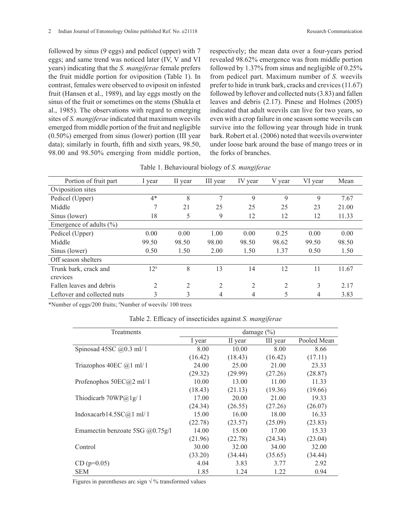followed by sinus (9 eggs) and pedicel (upper) with 7 eggs; and same trend was noticed later (IV, V and VI years) indicating that the *S. mangiferae* female prefers the fruit middle portion for oviposition (Table 1). In contrast, females were observed to oviposit on infested fruit (Hansen et al., 1989), and lay eggs mostly on the sinus of the fruit or sometimes on the stems (Shukla et al., 1985). The observations with regard to emerging sites of *S. mangiferae* indicated that maximum weevils emerged from middle portion of the fruit and negligible (0.50%) emerged from sinus (lower) portion (III year data); similarly in fourth, fifth and sixth years, 98.50, 98.00 and 98.50% emerging from middle portion,

respectively; the mean data over a four-years period revealed 98.62% emergence was from middle portion followed by 1.37% from sinus and negligible of 0.25% from pedicel part. Maximum number of *S.* weevils prefer to hide in trunk bark, cracks and crevices (11.67) followed by leftover and collected nuts (3.83) and fallen leaves and debris (2.17). Pinese and Holmes (2005) indicated that adult weevils can live for two years, so even with a crop failure in one season some weevils can survive into the following year through hide in trunk bark. Robert et al. (2006) noted that weevils overwinter under loose bark around the base of mango trees or in the forks of branches.

|  | Table 1. Behavioural biology of S. mangiferae |  |  |  |
|--|-----------------------------------------------|--|--|--|
|--|-----------------------------------------------|--|--|--|

| Portion of fruit part       | 1 year         | II year        | III year       | IV year | V year         | VI year | Mean  |
|-----------------------------|----------------|----------------|----------------|---------|----------------|---------|-------|
| Oviposition sites           |                |                |                |         |                |         |       |
| Pedicel (Upper)             | $4*$           | 8              | 7              | 9       | 9              | 9       | 7.67  |
| Middle                      | 7              | 21             | 25             | 25      | 25             | 23      | 21.00 |
| Sinus (lower)               | 18             | 5              | 9              | 12      | 12             | 12      | 11.33 |
| Emergence of adults $(\% )$ |                |                |                |         |                |         |       |
| Pedicel (Upper)             | 0.00           | 0.00           | 1.00           | 0.00    | 0.25           | 0.00    | 0.00  |
| Middle                      | 99.50          | 98.50          | 98.00          | 98.50   | 98.62          | 99.50   | 98.50 |
| Sinus (lower)               | 0.50           | 1.50           | 2.00           | 1.50    | 1.37           | 0.50    | 1.50  |
| Off season shelters         |                |                |                |         |                |         |       |
| Trunk bark, crack and       | $12^{#}$       | 8              | 13             | 14      | 12             | 11      | 11.67 |
| crevices                    |                |                |                |         |                |         |       |
| Fallen leaves and debris    | $\overline{2}$ | $\overline{2}$ | $\overline{2}$ | 2       | $\overline{2}$ | 3       | 2.17  |
| Leftover and collected nuts | 3              | 3              | 4              | 4       | 5              | 4       | 3.83  |

\*Number of eggs/200 fruits; # Number of weevils/ 100 trees

Table 2. Efficacy of insecticides against *S. mangiferae*

| Treatments                          | damage $(\% )$ |         |          |             |  |  |
|-------------------------------------|----------------|---------|----------|-------------|--|--|
|                                     | I year         | II year | III year | Pooled Mean |  |  |
| Spinosad 45SC $(20.3 \text{ ml}/1)$ | 8.00           | 10.00   | 8.00     | 8.66        |  |  |
|                                     | (16.42)        | (18.43) | (16.42)  | (17.11)     |  |  |
| Triazophos 40EC $@1$ ml/ 1          | 24.00          | 25.00   | 21.00    | 23.33       |  |  |
|                                     | (29.32)        | (29.99) | (27.26)  | (28.87)     |  |  |
| Profenophos $50EC(a)2$ ml/ 1        | 10.00          | 13.00   | 11.00    | 11.33       |  |  |
|                                     | (18.43)        | (21.13) | (19.36)  | (19.66)     |  |  |
| Thiodicarb $70WP@1g/1$              | 17.00          | 20.00   | 21.00    | 19.33       |  |  |
|                                     | (24.34)        | (26.55) | (27.26)  | (26.07)     |  |  |
| Indoxacarb14.5SC@1 ml/1             | 15.00          | 16.00   | 18.00    | 16.33       |  |  |
|                                     | (22.78)        | (23.57) | (25.09)  | (23.83)     |  |  |
| Emamectin benzoate 5SG $(20.75g/1)$ | 14.00          | 15.00   | 17.00    | 15.33       |  |  |
|                                     | (21.96)        | (22.78) | (24.34)  | (23.04)     |  |  |
| Control                             | 30.00          | 32.00   | 34.00    | 32.00       |  |  |
|                                     | (33.20)        | (34.44) | (35.65)  | (34.44)     |  |  |
| $CD (p=0.05)$                       | 4.04           | 3.83    | 3.77     | 2.92        |  |  |
| <b>SEM</b>                          | 1.85           | 1.24    | 1.22     | 0.94        |  |  |

Figures in parentheses arc sign  $\sqrt{\frac{9}{6}}$  transformed values